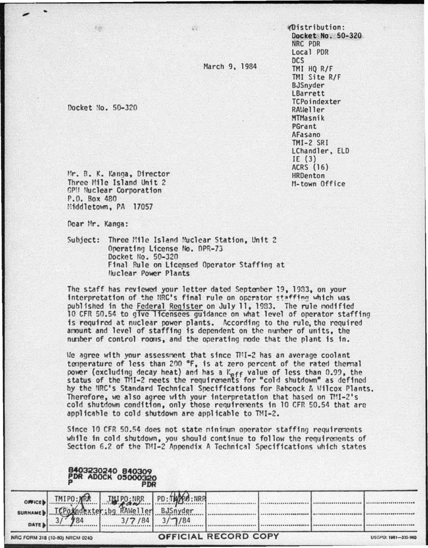March 9, 1984

W.

'(Distribution : Docket No. 50-320 NRC POR Local POR ocs TMI HQ R/F TMI Site R/F BJSnyder LBarrett TCPoindexter RAUeller MTHasnik PGrant AFasano TMI-2 SRI LChandler, ELD IE (3) ACRS (16) HROenton M-town Office

Docket No. 50-320

...

•

Mr. B. K. Kanga, Director Three Mile Island Unit 2 GPU Nuclear Corporation<br>P.O. Box 480 Middletown, PA 17057

Ocar Hr. Kanga:

Subject: Three Mile Island Muclear Station, Unit 2 Operating License No. DPR-73 Docket No. 50-320 Final Rule on Licensed Operator Staffing at Huclear Power Plants

The staff has reviewed your letter dated September 19, 1933, on your interpretation of the NRC's final rule on operator staffing which was published in the Federal Reqfster on July 11, 1993. The rule nodificd 10 CFR 50.54 to give licensees guidance on what level of operator staffing is required at nuclear power plants. According to the rule, the requfred amount and level of staffing is dependent on the number of units, the nunbcr of control rooms, and the operating node that the plant is fn.

Ue agree with your assessncnt that since TIII-2 has an average coolant temperature of less than 200 °F, is at zero percent of the rated thermal power (excluding decay heat) and has a Keff value of less than 0.99, the status of the TMI-2 meets the requirements for "cold shutdown" as defined by the NRC<sup>+</sup>s Standard Technical Specifications for Babcock & Wilcox Plants. Therefore, we also agree with your interpretation that hased on TMI-2's cold shutdown condition, only those requirements in 10 CFR 50.54 that are applicable to cold shutdown are applicable to TMI-2.

Since 10 CFR 50.54 does not state minimum operator staffing requirements while in cold shutdown, you should continue to follow the requirements of Section 6.2 of the TMI-2 Appendix A Technical Specifications which states

|                                 | ΩA<br>PD     | <b>R ADOCK 05000320</b> |             |                      |  |  |                        |
|---------------------------------|--------------|-------------------------|-------------|----------------------|--|--|------------------------|
| OFFICE<br><b>SURNAM</b><br>DATE | <b>TMIPO</b> |                         | PD:1<br>/84 |                      |  |  | .<br>*****<br>$-0.669$ |
| NRC FORM 318 (10-80) NRCM 0240  |              |                         |             | OFFICIAL RECORD COPY |  |  | USGPO: 1981-315-960    |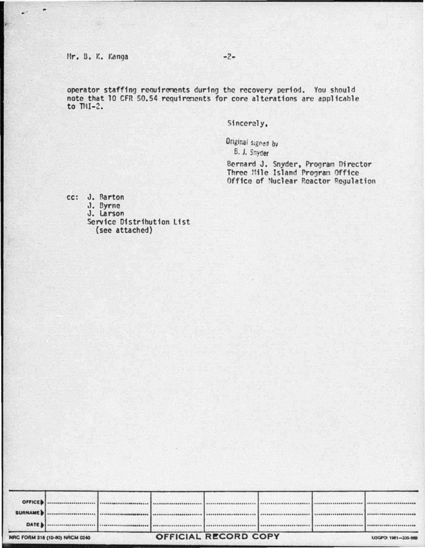## Mr. B. K. Kanga

operator staffing requirements during the recovery period. You should note that 10 CFR 50.54 requirements for core alterations are applicable to  $TMI-2$ .

Sincerely,

Original signed by B. J. Snyder

Bernard J. Snyder, Program Director<br>Three Mile Island Program Office Office of Nuclear Reactor Regulation

cc: J. Barton J. Byrne<br>J. Larson Service Distribution List (see attached)

|                | MOC EODM 118 HOURS NOCH OSA | OFFICIAL RECORD COPY |  |  |  | <b>BUSINESS STATE INC.</b> |
|----------------|-----------------------------|----------------------|--|--|--|----------------------------|
| DATE           |                             |                      |  |  |  |                            |
|                |                             |                      |  |  |  |                            |
| SURNAME        |                             |                      |  |  |  |                            |
| <b>OFFICED</b> |                             |                      |  |  |  |                            |
|                |                             |                      |  |  |  |                            |

 $-2-$